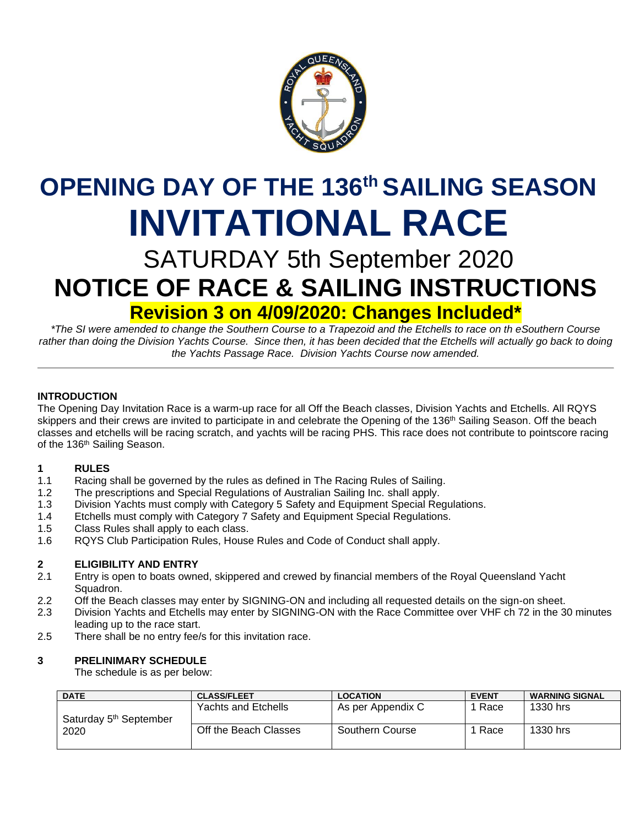

# **OPENING DAY OF THE 136 th SAILING SEASON INVITATIONAL RACE**

# SATURDAY 5th September 2020 **NOTICE OF RACE & SAILING INSTRUCTIONS Revision 3 on 4/09/2020: Changes Included\***

*\*The SI were amended to change the Southern Course to a Trapezoid and the Etchells to race on th eSouthern Course*  rather than doing the Division Yachts Course. Since then, it has been decided that the Etchells will actually go back to doing *the Yachts Passage Race. Division Yachts Course now amended.*

#### **INTRODUCTION**

The Opening Day Invitation Race is a warm-up race for all Off the Beach classes, Division Yachts and Etchells. All RQYS skippers and their crews are invited to participate in and celebrate the Opening of the 136<sup>th</sup> Sailing Season. Off the beach classes and etchells will be racing scratch, and yachts will be racing PHS. This race does not contribute to pointscore racing of the 136<sup>th</sup> Sailing Season.

#### **1 RULES**

- 1.1 Racing shall be governed by the rules as defined in The Racing Rules of Sailing.
- 1.2 The prescriptions and Special Regulations of Australian Sailing Inc. shall apply.
- 1.3 Division Yachts must comply with Category 5 Safety and Equipment Special Regulations.
- 1.4 Etchells must comply with Category 7 Safety and Equipment Special Regulations.
- 1.5 Class Rules shall apply to each class.
- 1.6 RQYS Club Participation Rules, House Rules and Code of Conduct shall apply.

#### **2 ELIGIBILITY AND ENTRY**

- 2.1 Entry is open to boats owned, skippered and crewed by financial members of the Royal Queensland Yacht Squadron.
- 2.2 Off the Beach classes may enter by SIGNING-ON and including all requested details on the sign-on sheet.
- 2.3 Division Yachts and Etchells may enter by SIGNING-ON with the Race Committee over VHF ch 72 in the 30 minutes leading up to the race start.
- 2.5 There shall be no entry fee/s for this invitation race.

#### **3 PRELINIMARY SCHEDULE**

The schedule is as per below:

| <b>DATE</b>                        | <b>CLASS/FLEET</b>    | <b>LOCATION</b>   | <b>EVENT</b> | <b>WARNING SIGNAL</b> |
|------------------------------------|-----------------------|-------------------|--------------|-----------------------|
| Saturday 5 <sup>th</sup> September | Yachts and Etchells   | As per Appendix C | Race         | 1330 hrs              |
| 2020                               | Off the Beach Classes | Southern Course   | Race         | 1330 hrs              |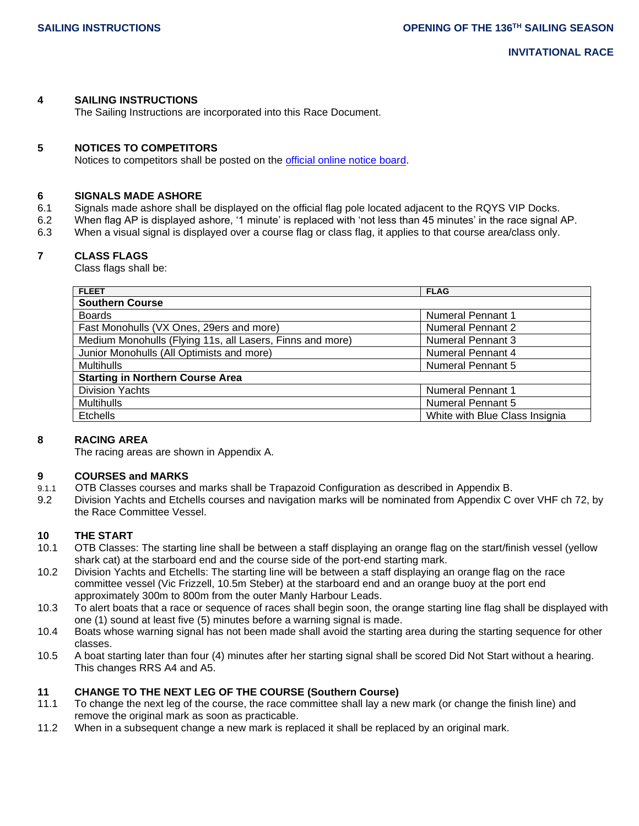**INVITATIONAL RACE**

#### **4 SAILING INSTRUCTIONS**

The Sailing Instructions are incorporated into this Race Document.

#### **5 NOTICES TO COMPETITORS**

Notices to competitors shall be posted on the [official online notice board.](https://www.rqys.com.au/sailingnoticeboard/)

#### **6 SIGNALS MADE ASHORE**

- 6.1 Signals made ashore shall be displayed on the official flag pole located adjacent to the RQYS VIP Docks.
- 6.2 When flag AP is displayed ashore, '1 minute' is replaced with 'not less than 45 minutes' in the race signal AP.
- 6.3 When a visual signal is displayed over a course flag or class flag, it applies to that course area/class only.

#### **7 CLASS FLAGS**

Class flags shall be:

| <b>FLEET</b>                                              | <b>FLAG</b>                    |  |  |  |
|-----------------------------------------------------------|--------------------------------|--|--|--|
| <b>Southern Course</b>                                    |                                |  |  |  |
| <b>Boards</b>                                             | <b>Numeral Pennant 1</b>       |  |  |  |
| Fast Monohulls (VX Ones, 29ers and more)                  | <b>Numeral Pennant 2</b>       |  |  |  |
| Medium Monohulls (Flying 11s, all Lasers, Finns and more) | <b>Numeral Pennant 3</b>       |  |  |  |
| Junior Monohulls (All Optimists and more)                 | <b>Numeral Pennant 4</b>       |  |  |  |
| <b>Multihulls</b>                                         | <b>Numeral Pennant 5</b>       |  |  |  |
| <b>Starting in Northern Course Area</b>                   |                                |  |  |  |
| <b>Division Yachts</b>                                    | <b>Numeral Pennant 1</b>       |  |  |  |
| <b>Multihulls</b>                                         | <b>Numeral Pennant 5</b>       |  |  |  |
| <b>Etchells</b>                                           | White with Blue Class Insignia |  |  |  |

#### **8 RACING AREA**

The racing areas are shown in Appendix A.

#### **9 COURSES and MARKS**

- 9.1.1 OTB Classes courses and marks shall be Trapazoid Configuration as described in Appendix B.
- 9.2 Division Yachts and Etchells courses and navigation marks will be nominated from Appendix C over VHF ch 72, by the Race Committee Vessel.

#### **10 THE START**

- 10.1 OTB Classes: The starting line shall be between a staff displaying an orange flag on the start/finish vessel (yellow shark cat) at the starboard end and the course side of the port-end starting mark.
- 10.2 Division Yachts and Etchells: The starting line will be between a staff displaying an orange flag on the race committee vessel (Vic Frizzell, 10.5m Steber) at the starboard end and an orange buoy at the port end approximately 300m to 800m from the outer Manly Harbour Leads.
- 10.3 To alert boats that a race or sequence of races shall begin soon, the orange starting line flag shall be displayed with one (1) sound at least five (5) minutes before a warning signal is made.
- 10.4 Boats whose warning signal has not been made shall avoid the starting area during the starting sequence for other classes.
- 10.5 A boat starting later than four (4) minutes after her starting signal shall be scored Did Not Start without a hearing. This changes RRS A4 and A5.

#### **11 CHANGE TO THE NEXT LEG OF THE COURSE (Southern Course)**

- 11.1 To change the next leg of the course, the race committee shall lay a new mark (or change the finish line) and remove the original mark as soon as practicable.
- 11.2 When in a subsequent change a new mark is replaced it shall be replaced by an original mark.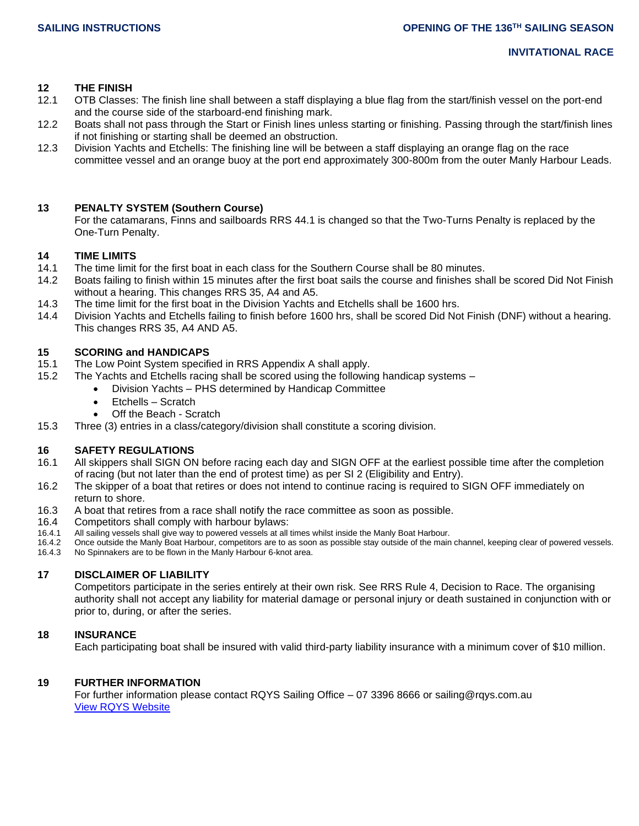#### **12 THE FINISH**

- 12.1 OTB Classes: The finish line shall between a staff displaying a blue flag from the start/finish vessel on the port-end and the course side of the starboard-end finishing mark.
- 12.2 Boats shall not pass through the Start or Finish lines unless starting or finishing. Passing through the start/finish lines if not finishing or starting shall be deemed an obstruction.
- 12.3 Division Yachts and Etchells: The finishing line will be between a staff displaying an orange flag on the race committee vessel and an orange buoy at the port end approximately 300-800m from the outer Manly Harbour Leads.

#### **13 PENALTY SYSTEM (Southern Course)**

For the catamarans, Finns and sailboards RRS 44.1 is changed so that the Two-Turns Penalty is replaced by the One-Turn Penalty.

#### **14 TIME LIMITS**

- 14.1 The time limit for the first boat in each class for the Southern Course shall be 80 minutes.
- 14.2 Boats failing to finish within 15 minutes after the first boat sails the course and finishes shall be scored Did Not Finish without a hearing. This changes RRS 35, A4 and A5.
- 14.3 The time limit for the first boat in the Division Yachts and Etchells shall be 1600 hrs.
- 14.4 Division Yachts and Etchells failing to finish before 1600 hrs, shall be scored Did Not Finish (DNF) without a hearing. This changes RRS 35, A4 AND A5.

#### **15 SCORING and HANDICAPS**

- 15.1 The Low Point System specified in RRS Appendix A shall apply.
- 15.2 The Yachts and Etchells racing shall be scored using the following handicap systems
	- Division Yachts PHS determined by Handicap Committee
		- Etchells Scratch
		- Off the Beach Scratch
- 15.3 Three (3) entries in a class/category/division shall constitute a scoring division.

#### **16 SAFETY REGULATIONS**

- 16.1 All skippers shall SIGN ON before racing each day and SIGN OFF at the earliest possible time after the completion of racing (but not later than the end of protest time) as per SI 2 (Eligibility and Entry).
- 16.2 The skipper of a boat that retires or does not intend to continue racing is required to SIGN OFF immediately on return to shore.
- 16.3 A boat that retires from a race shall notify the race committee as soon as possible.
- 16.4 Competitors shall comply with harbour bylaws:
- 16.4.1 All sailing vessels shall give way to powered vessels at all times whilst inside the Manly Boat Harbour.
- 16.4.2 Once outside the Manly Boat Harbour, competitors are to as soon as possible stay outside of the main channel, keeping clear of powered vessels. 16.4.3 No Spinnakers are to be flown in the Manly Harbour 6-knot area.

#### **17 DISCLAIMER OF LIABILITY**

Competitors participate in the series entirely at their own risk. See RRS Rule 4, Decision to Race. The organising authority shall not accept any liability for material damage or personal injury or death sustained in conjunction with or prior to, during, or after the series.

#### **18 INSURANCE**

Each participating boat shall be insured with valid third-party liability insurance with a minimum cover of \$10 million.

#### **19 FURTHER INFORMATION**

For further information please contact RQYS Sailing Office – 07 3396 8666 or sailing@rqys.com.au [View RQYS Website](http://www.rqys.com.au/)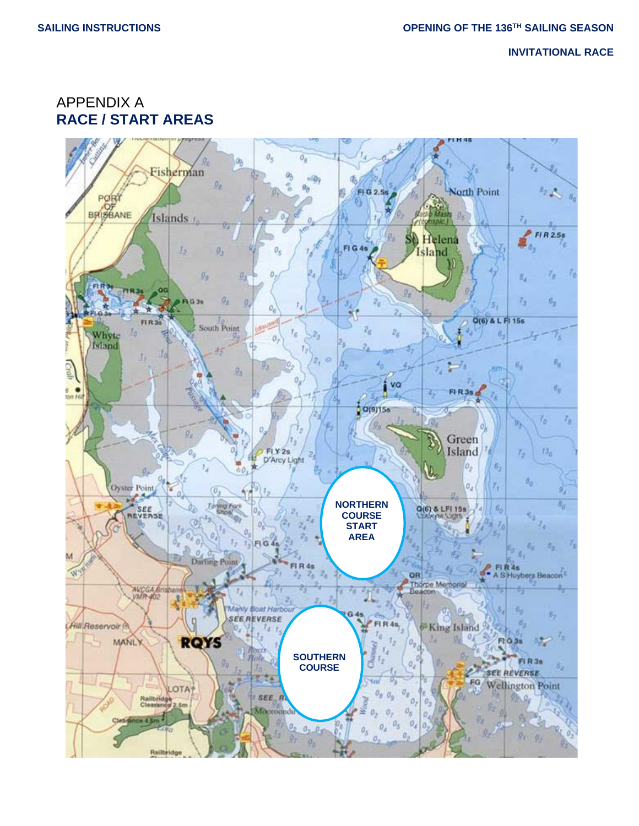**INVITATIONAL RACE**

APPENDIX A **RACE / START AREAS**

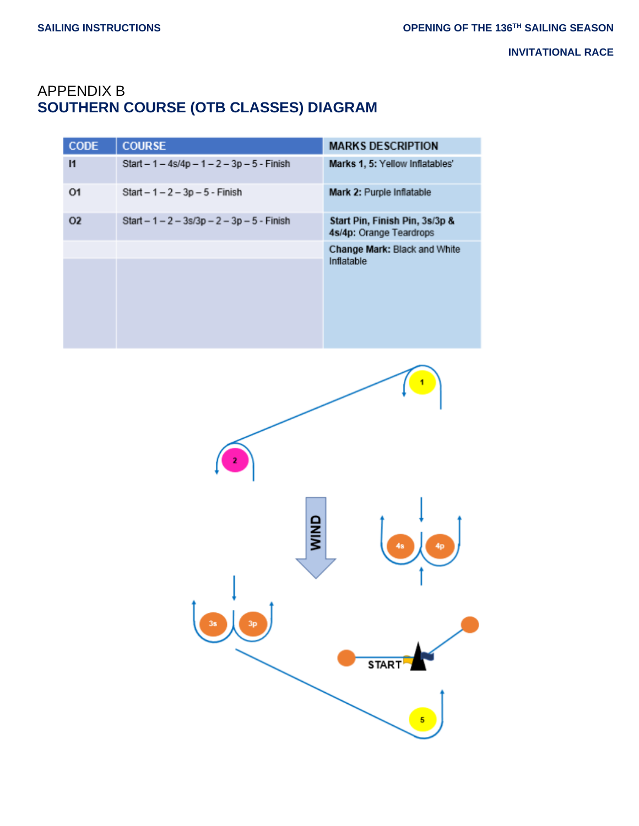# APPENDIX B **SOUTHERN COURSE (OTB CLASSES) DIAGRAM**

| <b>CODE</b>  | <b>COURSE</b>                                  | <b>MARKS DESCRIPTION</b>                                  |
|--------------|------------------------------------------------|-----------------------------------------------------------|
| $\mathbf{I}$ | Start $-1 - 4s/4p - 1 - 2 - 3p - 5 - 1$ Finish | Marks 1, 5: Yellow Inflatables'                           |
| 01           | $Start - 1 - 2 - 3p - 5 - Finish$              | Mark 2: Purple Inflatable                                 |
| 02           | Start $-1 - 2 - 3s/3p - 2 - 3p - 5 - F$ in sh  | Start Pin, Finish Pin, 3s/3p &<br>4s/4p: Orange Teardrops |
|              |                                                | Change Mark: Black and White<br>Inflatable                |